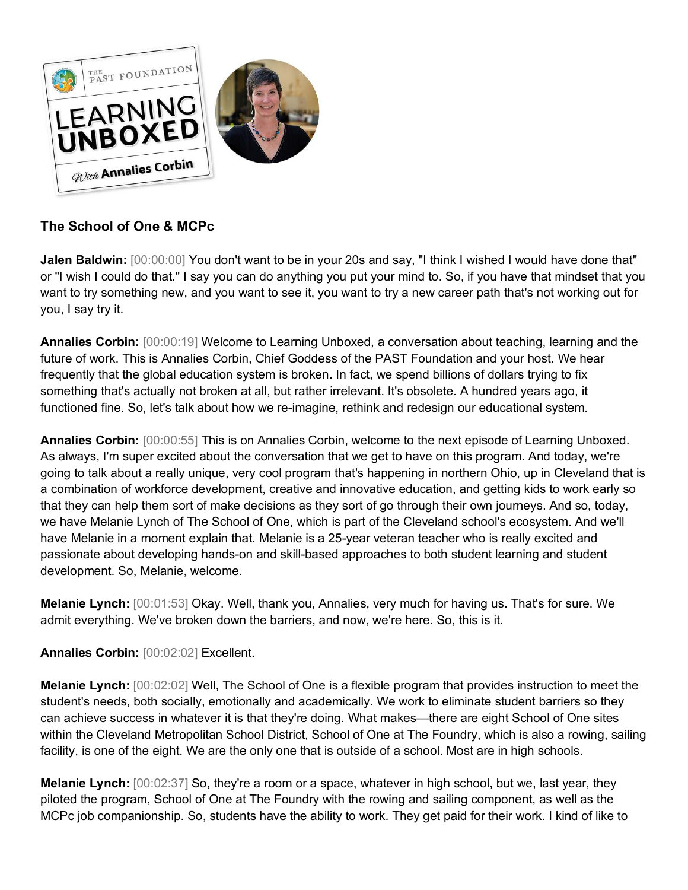

## **The School of One & MCPc**

**Jalen Baldwin:** [00:00:00] You don't want to be in your 20s and say, "I think I wished I would have done that" or "I wish I could do that." I say you can do anything you put your mind to. So, if you have that mindset that you want to try something new, and you want to see it, you want to try a new career path that's not working out for you, I say try it.

**Annalies Corbin:** [00:00:19] Welcome to Learning Unboxed, a conversation about teaching, learning and the future of work. This is Annalies Corbin, Chief Goddess of the PAST Foundation and your host. We hear frequently that the global education system is broken. In fact, we spend billions of dollars trying to fix something that's actually not broken at all, but rather irrelevant. It's obsolete. A hundred years ago, it functioned fine. So, let's talk about how we re-imagine, rethink and redesign our educational system.

**Annalies Corbin:** [00:00:55] This is on Annalies Corbin, welcome to the next episode of Learning Unboxed. As always, I'm super excited about the conversation that we get to have on this program. And today, we're going to talk about a really unique, very cool program that's happening in northern Ohio, up in Cleveland that is a combination of workforce development, creative and innovative education, and getting kids to work early so that they can help them sort of make decisions as they sort of go through their own journeys. And so, today, we have Melanie Lynch of The School of One, which is part of the Cleveland school's ecosystem. And we'll have Melanie in a moment explain that. Melanie is a 25-year veteran teacher who is really excited and passionate about developing hands-on and skill-based approaches to both student learning and student development. So, Melanie, welcome.

**Melanie Lynch:** [00:01:53] Okay. Well, thank you, Annalies, very much for having us. That's for sure. We admit everything. We've broken down the barriers, and now, we're here. So, this is it.

**Annalies Corbin:** [00:02:02] Excellent.

**Melanie Lynch:** [00:02:02] Well, The School of One is a flexible program that provides instruction to meet the student's needs, both socially, emotionally and academically. We work to eliminate student barriers so they can achieve success in whatever it is that they're doing. What makes—there are eight School of One sites within the Cleveland Metropolitan School District, School of One at The Foundry, which is also a rowing, sailing facility, is one of the eight. We are the only one that is outside of a school. Most are in high schools.

**Melanie Lynch:** [00:02:37] So, they're a room or a space, whatever in high school, but we, last year, they piloted the program, School of One at The Foundry with the rowing and sailing component, as well as the MCPc job companionship. So, students have the ability to work. They get paid for their work. I kind of like to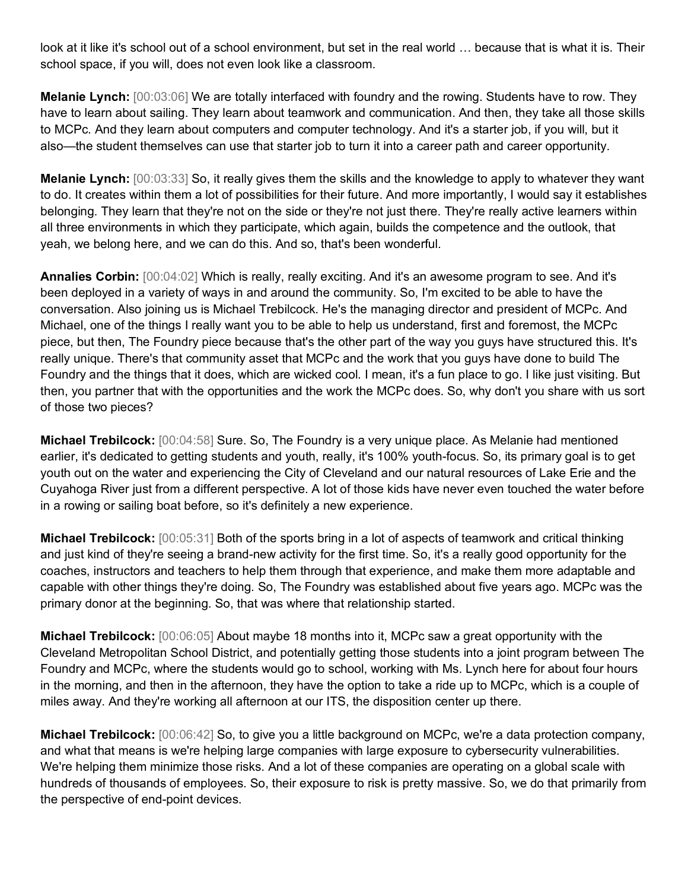look at it like it's school out of a school environment, but set in the real world … because that is what it is. Their school space, if you will, does not even look like a classroom.

**Melanie Lynch:** [00:03:06] We are totally interfaced with foundry and the rowing. Students have to row. They have to learn about sailing. They learn about teamwork and communication. And then, they take all those skills to MCPc. And they learn about computers and computer technology. And it's a starter job, if you will, but it also—the student themselves can use that starter job to turn it into a career path and career opportunity.

**Melanie Lynch:** [00:03:33] So, it really gives them the skills and the knowledge to apply to whatever they want to do. It creates within them a lot of possibilities for their future. And more importantly, I would say it establishes belonging. They learn that they're not on the side or they're not just there. They're really active learners within all three environments in which they participate, which again, builds the competence and the outlook, that yeah, we belong here, and we can do this. And so, that's been wonderful.

**Annalies Corbin:** [00:04:02] Which is really, really exciting. And it's an awesome program to see. And it's been deployed in a variety of ways in and around the community. So, I'm excited to be able to have the conversation. Also joining us is Michael Trebilcock. He's the managing director and president of MCPc. And Michael, one of the things I really want you to be able to help us understand, first and foremost, the MCPc piece, but then, The Foundry piece because that's the other part of the way you guys have structured this. It's really unique. There's that community asset that MCPc and the work that you guys have done to build The Foundry and the things that it does, which are wicked cool. I mean, it's a fun place to go. I like just visiting. But then, you partner that with the opportunities and the work the MCPc does. So, why don't you share with us sort of those two pieces?

**Michael Trebilcock:** [00:04:58] Sure. So, The Foundry is a very unique place. As Melanie had mentioned earlier, it's dedicated to getting students and youth, really, it's 100% youth-focus. So, its primary goal is to get youth out on the water and experiencing the City of Cleveland and our natural resources of Lake Erie and the Cuyahoga River just from a different perspective. A lot of those kids have never even touched the water before in a rowing or sailing boat before, so it's definitely a new experience.

**Michael Trebilcock:** [00:05:31] Both of the sports bring in a lot of aspects of teamwork and critical thinking and just kind of they're seeing a brand-new activity for the first time. So, it's a really good opportunity for the coaches, instructors and teachers to help them through that experience, and make them more adaptable and capable with other things they're doing. So, The Foundry was established about five years ago. MCPc was the primary donor at the beginning. So, that was where that relationship started.

**Michael Trebilcock:** [00:06:05] About maybe 18 months into it, MCPc saw a great opportunity with the Cleveland Metropolitan School District, and potentially getting those students into a joint program between The Foundry and MCPc, where the students would go to school, working with Ms. Lynch here for about four hours in the morning, and then in the afternoon, they have the option to take a ride up to MCPc, which is a couple of miles away. And they're working all afternoon at our ITS, the disposition center up there.

**Michael Trebilcock:** [00:06:42] So, to give you a little background on MCPc, we're a data protection company, and what that means is we're helping large companies with large exposure to cybersecurity vulnerabilities. We're helping them minimize those risks. And a lot of these companies are operating on a global scale with hundreds of thousands of employees. So, their exposure to risk is pretty massive. So, we do that primarily from the perspective of end-point devices.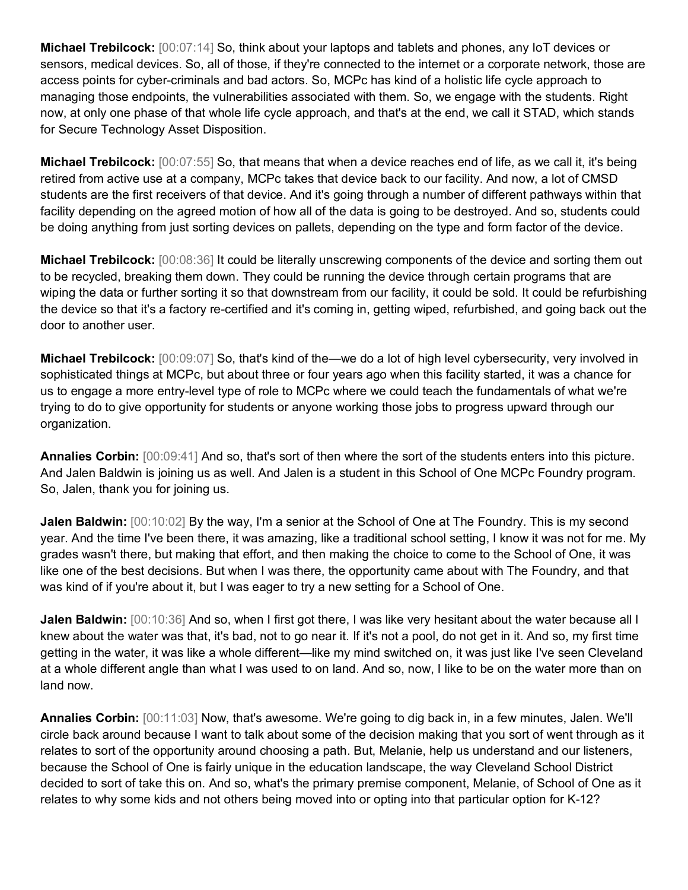**Michael Trebilcock:** [00:07:14] So, think about your laptops and tablets and phones, any IoT devices or sensors, medical devices. So, all of those, if they're connected to the internet or a corporate network, those are access points for cyber-criminals and bad actors. So, MCPc has kind of a holistic life cycle approach to managing those endpoints, the vulnerabilities associated with them. So, we engage with the students. Right now, at only one phase of that whole life cycle approach, and that's at the end, we call it STAD, which stands for Secure Technology Asset Disposition.

**Michael Trebilcock:** [00:07:55] So, that means that when a device reaches end of life, as we call it, it's being retired from active use at a company, MCPc takes that device back to our facility. And now, a lot of CMSD students are the first receivers of that device. And it's going through a number of different pathways within that facility depending on the agreed motion of how all of the data is going to be destroyed. And so, students could be doing anything from just sorting devices on pallets, depending on the type and form factor of the device.

**Michael Trebilcock:** [00:08:36] It could be literally unscrewing components of the device and sorting them out to be recycled, breaking them down. They could be running the device through certain programs that are wiping the data or further sorting it so that downstream from our facility, it could be sold. It could be refurbishing the device so that it's a factory re-certified and it's coming in, getting wiped, refurbished, and going back out the door to another user.

**Michael Trebilcock:** [00:09:07] So, that's kind of the—we do a lot of high level cybersecurity, very involved in sophisticated things at MCPc, but about three or four years ago when this facility started, it was a chance for us to engage a more entry-level type of role to MCPc where we could teach the fundamentals of what we're trying to do to give opportunity for students or anyone working those jobs to progress upward through our organization.

**Annalies Corbin:** [00:09:41] And so, that's sort of then where the sort of the students enters into this picture. And Jalen Baldwin is joining us as well. And Jalen is a student in this School of One MCPc Foundry program. So, Jalen, thank you for joining us.

**Jalen Baldwin:** [00:10:02] By the way, I'm a senior at the School of One at The Foundry. This is my second year. And the time I've been there, it was amazing, like a traditional school setting, I know it was not for me. My grades wasn't there, but making that effort, and then making the choice to come to the School of One, it was like one of the best decisions. But when I was there, the opportunity came about with The Foundry, and that was kind of if you're about it, but I was eager to try a new setting for a School of One.

**Jalen Baldwin:** [00:10:36] And so, when I first got there, I was like very hesitant about the water because all I knew about the water was that, it's bad, not to go near it. If it's not a pool, do not get in it. And so, my first time getting in the water, it was like a whole different—like my mind switched on, it was just like I've seen Cleveland at a whole different angle than what I was used to on land. And so, now, I like to be on the water more than on land now.

**Annalies Corbin:** [00:11:03] Now, that's awesome. We're going to dig back in, in a few minutes, Jalen. We'll circle back around because I want to talk about some of the decision making that you sort of went through as it relates to sort of the opportunity around choosing a path. But, Melanie, help us understand and our listeners, because the School of One is fairly unique in the education landscape, the way Cleveland School District decided to sort of take this on. And so, what's the primary premise component, Melanie, of School of One as it relates to why some kids and not others being moved into or opting into that particular option for K-12?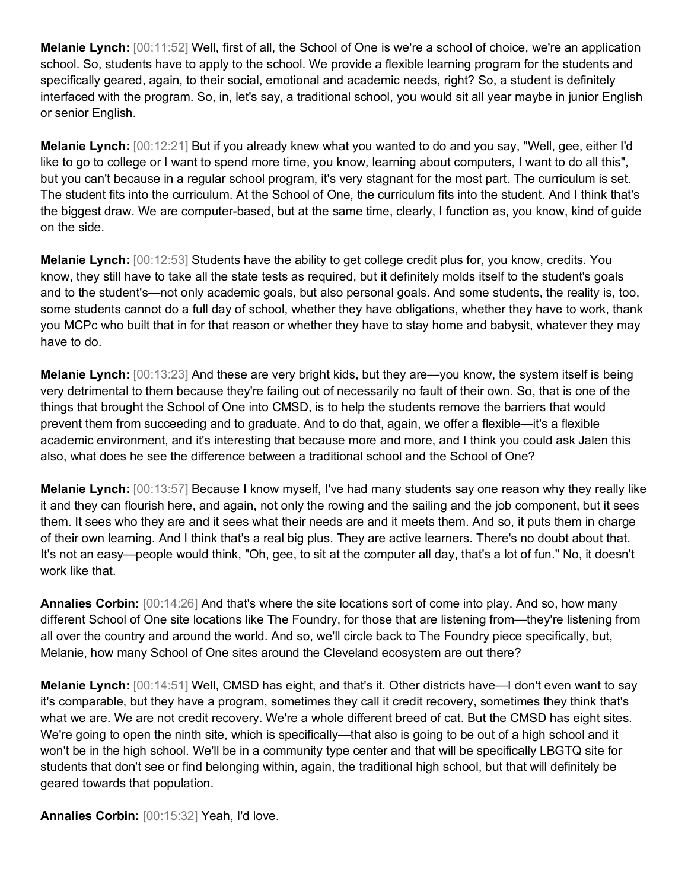**Melanie Lynch:** [00:11:52] Well, first of all, the School of One is we're a school of choice, we're an application school. So, students have to apply to the school. We provide a flexible learning program for the students and specifically geared, again, to their social, emotional and academic needs, right? So, a student is definitely interfaced with the program. So, in, let's say, a traditional school, you would sit all year maybe in junior English or senior English.

**Melanie Lynch:** [00:12:21] But if you already knew what you wanted to do and you say, "Well, gee, either I'd like to go to college or I want to spend more time, you know, learning about computers, I want to do all this", but you can't because in a regular school program, it's very stagnant for the most part. The curriculum is set. The student fits into the curriculum. At the School of One, the curriculum fits into the student. And I think that's the biggest draw. We are computer-based, but at the same time, clearly, I function as, you know, kind of guide on the side.

**Melanie Lynch:** [00:12:53] Students have the ability to get college credit plus for, you know, credits. You know, they still have to take all the state tests as required, but it definitely molds itself to the student's goals and to the student's—not only academic goals, but also personal goals. And some students, the reality is, too, some students cannot do a full day of school, whether they have obligations, whether they have to work, thank you MCPc who built that in for that reason or whether they have to stay home and babysit, whatever they may have to do.

**Melanie Lynch:** [00:13:23] And these are very bright kids, but they are—you know, the system itself is being very detrimental to them because they're failing out of necessarily no fault of their own. So, that is one of the things that brought the School of One into CMSD, is to help the students remove the barriers that would prevent them from succeeding and to graduate. And to do that, again, we offer a flexible—it's a flexible academic environment, and it's interesting that because more and more, and I think you could ask Jalen this also, what does he see the difference between a traditional school and the School of One?

**Melanie Lynch:** [00:13:57] Because I know myself, I've had many students say one reason why they really like it and they can flourish here, and again, not only the rowing and the sailing and the job component, but it sees them. It sees who they are and it sees what their needs are and it meets them. And so, it puts them in charge of their own learning. And I think that's a real big plus. They are active learners. There's no doubt about that. It's not an easy—people would think, "Oh, gee, to sit at the computer all day, that's a lot of fun." No, it doesn't work like that.

**Annalies Corbin:** [00:14:26] And that's where the site locations sort of come into play. And so, how many different School of One site locations like The Foundry, for those that are listening from—they're listening from all over the country and around the world. And so, we'll circle back to The Foundry piece specifically, but, Melanie, how many School of One sites around the Cleveland ecosystem are out there?

**Melanie Lynch:** [00:14:51] Well, CMSD has eight, and that's it. Other districts have—I don't even want to say it's comparable, but they have a program, sometimes they call it credit recovery, sometimes they think that's what we are. We are not credit recovery. We're a whole different breed of cat. But the CMSD has eight sites. We're going to open the ninth site, which is specifically—that also is going to be out of a high school and it won't be in the high school. We'll be in a community type center and that will be specifically LBGTQ site for students that don't see or find belonging within, again, the traditional high school, but that will definitely be geared towards that population.

**Annalies Corbin:** [00:15:32] Yeah, I'd love.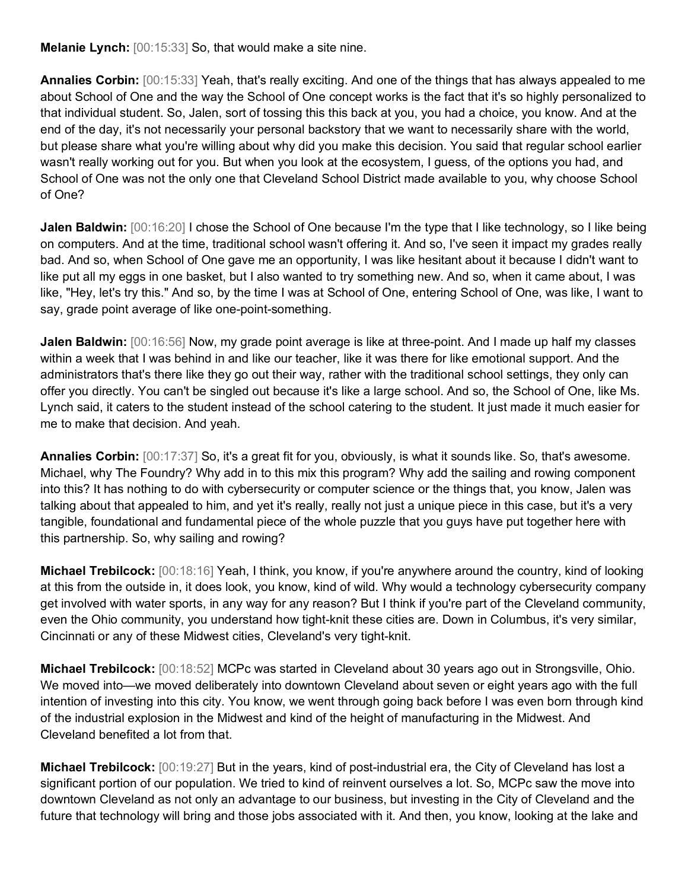**Melanie Lynch:** [00:15:33] So, that would make a site nine.

**Annalies Corbin:** [00:15:33] Yeah, that's really exciting. And one of the things that has always appealed to me about School of One and the way the School of One concept works is the fact that it's so highly personalized to that individual student. So, Jalen, sort of tossing this this back at you, you had a choice, you know. And at the end of the day, it's not necessarily your personal backstory that we want to necessarily share with the world, but please share what you're willing about why did you make this decision. You said that regular school earlier wasn't really working out for you. But when you look at the ecosystem, I guess, of the options you had, and School of One was not the only one that Cleveland School District made available to you, why choose School of One?

**Jalen Baldwin:**  $[00:16:20]$  I chose the School of One because I'm the type that I like technology, so I like being on computers. And at the time, traditional school wasn't offering it. And so, I've seen it impact my grades really bad. And so, when School of One gave me an opportunity, I was like hesitant about it because I didn't want to like put all my eggs in one basket, but I also wanted to try something new. And so, when it came about, I was like, "Hey, let's try this." And so, by the time I was at School of One, entering School of One, was like, I want to say, grade point average of like one-point-something.

**Jalen Baldwin:** [00:16:56] Now, my grade point average is like at three-point. And I made up half my classes within a week that I was behind in and like our teacher, like it was there for like emotional support. And the administrators that's there like they go out their way, rather with the traditional school settings, they only can offer you directly. You can't be singled out because it's like a large school. And so, the School of One, like Ms. Lynch said, it caters to the student instead of the school catering to the student. It just made it much easier for me to make that decision. And yeah.

**Annalies Corbin:** [00:17:37] So, it's a great fit for you, obviously, is what it sounds like. So, that's awesome. Michael, why The Foundry? Why add in to this mix this program? Why add the sailing and rowing component into this? It has nothing to do with cybersecurity or computer science or the things that, you know, Jalen was talking about that appealed to him, and yet it's really, really not just a unique piece in this case, but it's a very tangible, foundational and fundamental piece of the whole puzzle that you guys have put together here with this partnership. So, why sailing and rowing?

**Michael Trebilcock:** [00:18:16] Yeah, I think, you know, if you're anywhere around the country, kind of looking at this from the outside in, it does look, you know, kind of wild. Why would a technology cybersecurity company get involved with water sports, in any way for any reason? But I think if you're part of the Cleveland community, even the Ohio community, you understand how tight-knit these cities are. Down in Columbus, it's very similar, Cincinnati or any of these Midwest cities, Cleveland's very tight-knit.

**Michael Trebilcock:** [00:18:52] MCPc was started in Cleveland about 30 years ago out in Strongsville, Ohio. We moved into—we moved deliberately into downtown Cleveland about seven or eight years ago with the full intention of investing into this city. You know, we went through going back before I was even born through kind of the industrial explosion in the Midwest and kind of the height of manufacturing in the Midwest. And Cleveland benefited a lot from that.

**Michael Trebilcock:** [00:19:27] But in the years, kind of post-industrial era, the City of Cleveland has lost a significant portion of our population. We tried to kind of reinvent ourselves a lot. So, MCPc saw the move into downtown Cleveland as not only an advantage to our business, but investing in the City of Cleveland and the future that technology will bring and those jobs associated with it. And then, you know, looking at the lake and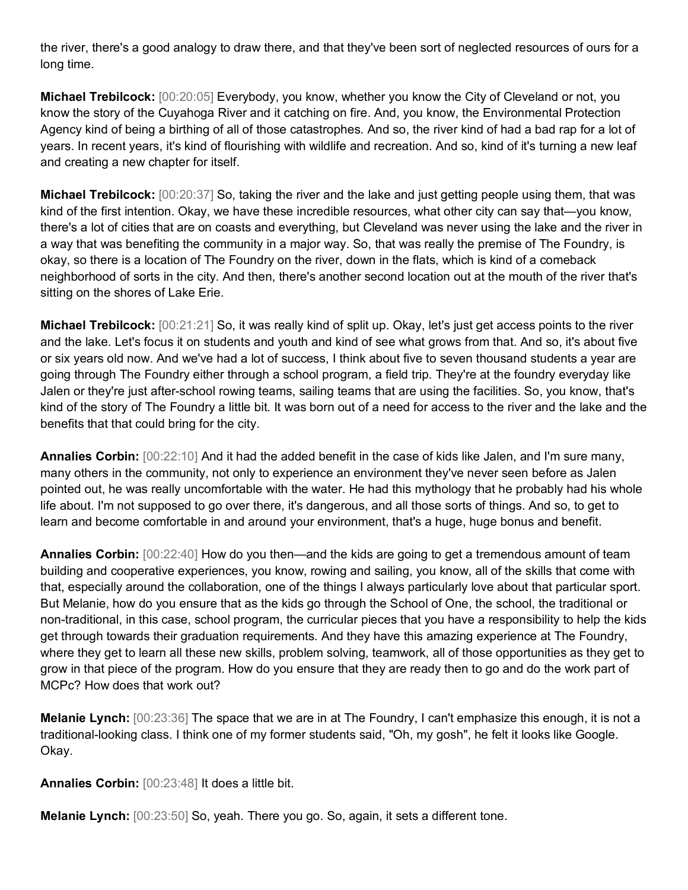the river, there's a good analogy to draw there, and that they've been sort of neglected resources of ours for a long time.

**Michael Trebilcock:** [00:20:05] Everybody, you know, whether you know the City of Cleveland or not, you know the story of the Cuyahoga River and it catching on fire. And, you know, the Environmental Protection Agency kind of being a birthing of all of those catastrophes. And so, the river kind of had a bad rap for a lot of years. In recent years, it's kind of flourishing with wildlife and recreation. And so, kind of it's turning a new leaf and creating a new chapter for itself.

**Michael Trebilcock:** [00:20:37] So, taking the river and the lake and just getting people using them, that was kind of the first intention. Okay, we have these incredible resources, what other city can say that—you know, there's a lot of cities that are on coasts and everything, but Cleveland was never using the lake and the river in a way that was benefiting the community in a major way. So, that was really the premise of The Foundry, is okay, so there is a location of The Foundry on the river, down in the flats, which is kind of a comeback neighborhood of sorts in the city. And then, there's another second location out at the mouth of the river that's sitting on the shores of Lake Erie.

**Michael Trebilcock:** [00:21:21] So, it was really kind of split up. Okay, let's just get access points to the river and the lake. Let's focus it on students and youth and kind of see what grows from that. And so, it's about five or six years old now. And we've had a lot of success, I think about five to seven thousand students a year are going through The Foundry either through a school program, a field trip. They're at the foundry everyday like Jalen or they're just after-school rowing teams, sailing teams that are using the facilities. So, you know, that's kind of the story of The Foundry a little bit. It was born out of a need for access to the river and the lake and the benefits that that could bring for the city.

**Annalies Corbin:** [00:22:10] And it had the added benefit in the case of kids like Jalen, and I'm sure many, many others in the community, not only to experience an environment they've never seen before as Jalen pointed out, he was really uncomfortable with the water. He had this mythology that he probably had his whole life about. I'm not supposed to go over there, it's dangerous, and all those sorts of things. And so, to get to learn and become comfortable in and around your environment, that's a huge, huge bonus and benefit.

**Annalies Corbin:** [00:22:40] How do you then—and the kids are going to get a tremendous amount of team building and cooperative experiences, you know, rowing and sailing, you know, all of the skills that come with that, especially around the collaboration, one of the things I always particularly love about that particular sport. But Melanie, how do you ensure that as the kids go through the School of One, the school, the traditional or non-traditional, in this case, school program, the curricular pieces that you have a responsibility to help the kids get through towards their graduation requirements. And they have this amazing experience at The Foundry, where they get to learn all these new skills, problem solving, teamwork, all of those opportunities as they get to grow in that piece of the program. How do you ensure that they are ready then to go and do the work part of MCPc? How does that work out?

**Melanie Lynch:** [00:23:36] The space that we are in at The Foundry, I can't emphasize this enough, it is not a traditional-looking class. I think one of my former students said, "Oh, my gosh", he felt it looks like Google. Okay.

**Annalies Corbin:** [00:23:48] It does a little bit.

**Melanie Lynch:** [00:23:50] So, yeah. There you go. So, again, it sets a different tone.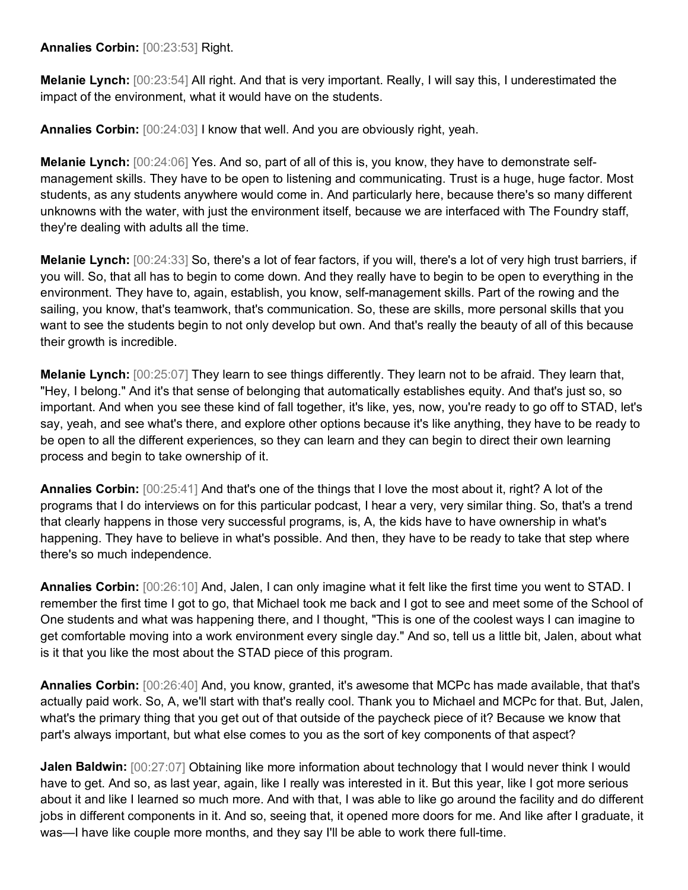**Annalies Corbin:** [00:23:53] Right.

**Melanie Lynch:** [00:23:54] All right. And that is very important. Really, I will say this, I underestimated the impact of the environment, what it would have on the students.

**Annalies Corbin:** [00:24:03] I know that well. And you are obviously right, yeah.

**Melanie Lynch:** [00:24:06] Yes. And so, part of all of this is, you know, they have to demonstrate selfmanagement skills. They have to be open to listening and communicating. Trust is a huge, huge factor. Most students, as any students anywhere would come in. And particularly here, because there's so many different unknowns with the water, with just the environment itself, because we are interfaced with The Foundry staff, they're dealing with adults all the time.

**Melanie Lynch:** [00:24:33] So, there's a lot of fear factors, if you will, there's a lot of very high trust barriers, if you will. So, that all has to begin to come down. And they really have to begin to be open to everything in the environment. They have to, again, establish, you know, self-management skills. Part of the rowing and the sailing, you know, that's teamwork, that's communication. So, these are skills, more personal skills that you want to see the students begin to not only develop but own. And that's really the beauty of all of this because their growth is incredible.

**Melanie Lynch:** [00:25:07] They learn to see things differently. They learn not to be afraid. They learn that, "Hey, I belong." And it's that sense of belonging that automatically establishes equity. And that's just so, so important. And when you see these kind of fall together, it's like, yes, now, you're ready to go off to STAD, let's say, yeah, and see what's there, and explore other options because it's like anything, they have to be ready to be open to all the different experiences, so they can learn and they can begin to direct their own learning process and begin to take ownership of it.

**Annalies Corbin:** [00:25:41] And that's one of the things that I love the most about it, right? A lot of the programs that I do interviews on for this particular podcast, I hear a very, very similar thing. So, that's a trend that clearly happens in those very successful programs, is, A, the kids have to have ownership in what's happening. They have to believe in what's possible. And then, they have to be ready to take that step where there's so much independence.

**Annalies Corbin:** [00:26:10] And, Jalen, I can only imagine what it felt like the first time you went to STAD. I remember the first time I got to go, that Michael took me back and I got to see and meet some of the School of One students and what was happening there, and I thought, "This is one of the coolest ways I can imagine to get comfortable moving into a work environment every single day." And so, tell us a little bit, Jalen, about what is it that you like the most about the STAD piece of this program.

**Annalies Corbin:** [00:26:40] And, you know, granted, it's awesome that MCPc has made available, that that's actually paid work. So, A, we'll start with that's really cool. Thank you to Michael and MCPc for that. But, Jalen, what's the primary thing that you get out of that outside of the paycheck piece of it? Because we know that part's always important, but what else comes to you as the sort of key components of that aspect?

**Jalen Baldwin:** [00:27:07] Obtaining like more information about technology that I would never think I would have to get. And so, as last year, again, like I really was interested in it. But this year, like I got more serious about it and like I learned so much more. And with that, I was able to like go around the facility and do different jobs in different components in it. And so, seeing that, it opened more doors for me. And like after I graduate, it was—I have like couple more months, and they say I'll be able to work there full-time.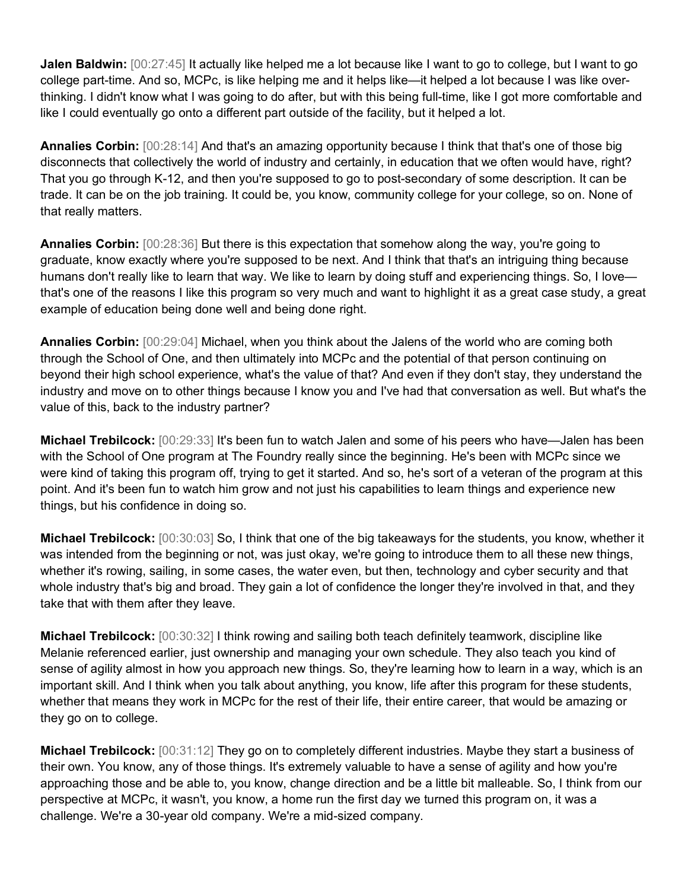**Jalen Baldwin:** [00:27:45] It actually like helped me a lot because like I want to go to college, but I want to go college part-time. And so, MCPc, is like helping me and it helps like—it helped a lot because I was like overthinking. I didn't know what I was going to do after, but with this being full-time, like I got more comfortable and like I could eventually go onto a different part outside of the facility, but it helped a lot.

**Annalies Corbin:** [00:28:14] And that's an amazing opportunity because I think that that's one of those big disconnects that collectively the world of industry and certainly, in education that we often would have, right? That you go through K-12, and then you're supposed to go to post-secondary of some description. It can be trade. It can be on the job training. It could be, you know, community college for your college, so on. None of that really matters.

**Annalies Corbin:** [00:28:36] But there is this expectation that somehow along the way, you're going to graduate, know exactly where you're supposed to be next. And I think that that's an intriguing thing because humans don't really like to learn that way. We like to learn by doing stuff and experiencing things. So, I love that's one of the reasons I like this program so very much and want to highlight it as a great case study, a great example of education being done well and being done right.

**Annalies Corbin:** [00:29:04] Michael, when you think about the Jalens of the world who are coming both through the School of One, and then ultimately into MCPc and the potential of that person continuing on beyond their high school experience, what's the value of that? And even if they don't stay, they understand the industry and move on to other things because I know you and I've had that conversation as well. But what's the value of this, back to the industry partner?

**Michael Trebilcock:** [00:29:33] It's been fun to watch Jalen and some of his peers who have—Jalen has been with the School of One program at The Foundry really since the beginning. He's been with MCPc since we were kind of taking this program off, trying to get it started. And so, he's sort of a veteran of the program at this point. And it's been fun to watch him grow and not just his capabilities to learn things and experience new things, but his confidence in doing so.

**Michael Trebilcock:** [00:30:03] So, I think that one of the big takeaways for the students, you know, whether it was intended from the beginning or not, was just okay, we're going to introduce them to all these new things, whether it's rowing, sailing, in some cases, the water even, but then, technology and cyber security and that whole industry that's big and broad. They gain a lot of confidence the longer they're involved in that, and they take that with them after they leave.

**Michael Trebilcock:** [00:30:32] I think rowing and sailing both teach definitely teamwork, discipline like Melanie referenced earlier, just ownership and managing your own schedule. They also teach you kind of sense of agility almost in how you approach new things. So, they're learning how to learn in a way, which is an important skill. And I think when you talk about anything, you know, life after this program for these students, whether that means they work in MCPc for the rest of their life, their entire career, that would be amazing or they go on to college.

**Michael Trebilcock:** [00:31:12] They go on to completely different industries. Maybe they start a business of their own. You know, any of those things. It's extremely valuable to have a sense of agility and how you're approaching those and be able to, you know, change direction and be a little bit malleable. So, I think from our perspective at MCPc, it wasn't, you know, a home run the first day we turned this program on, it was a challenge. We're a 30-year old company. We're a mid-sized company.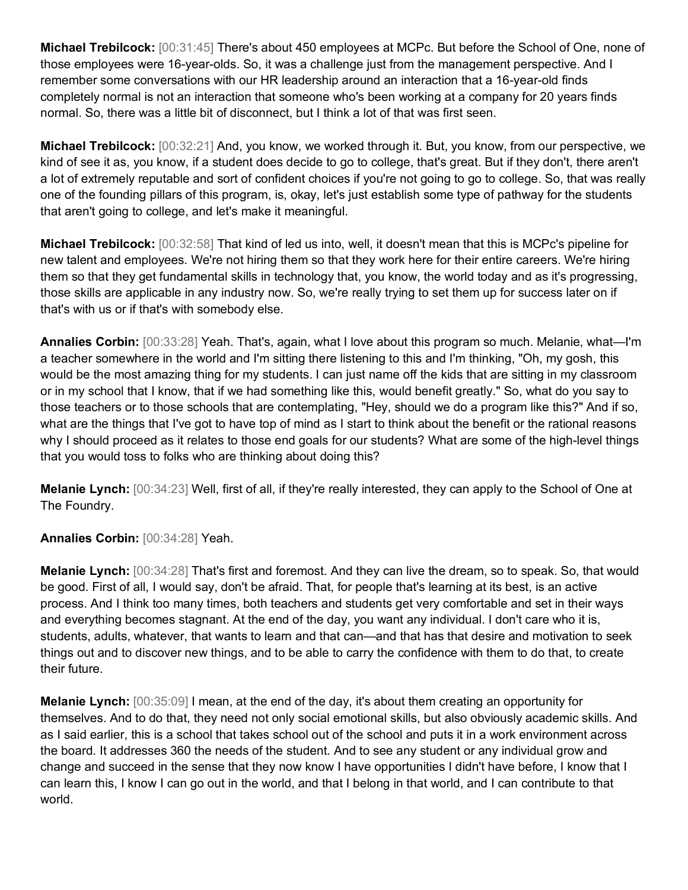**Michael Trebilcock:** [00:31:45] There's about 450 employees at MCPc. But before the School of One, none of those employees were 16-year-olds. So, it was a challenge just from the management perspective. And I remember some conversations with our HR leadership around an interaction that a 16-year-old finds completely normal is not an interaction that someone who's been working at a company for 20 years finds normal. So, there was a little bit of disconnect, but I think a lot of that was first seen.

**Michael Trebilcock:** [00:32:21] And, you know, we worked through it. But, you know, from our perspective, we kind of see it as, you know, if a student does decide to go to college, that's great. But if they don't, there aren't a lot of extremely reputable and sort of confident choices if you're not going to go to college. So, that was really one of the founding pillars of this program, is, okay, let's just establish some type of pathway for the students that aren't going to college, and let's make it meaningful.

**Michael Trebilcock:** [00:32:58] That kind of led us into, well, it doesn't mean that this is MCPc's pipeline for new talent and employees. We're not hiring them so that they work here for their entire careers. We're hiring them so that they get fundamental skills in technology that, you know, the world today and as it's progressing, those skills are applicable in any industry now. So, we're really trying to set them up for success later on if that's with us or if that's with somebody else.

**Annalies Corbin:** [00:33:28] Yeah. That's, again, what I love about this program so much. Melanie, what—I'm a teacher somewhere in the world and I'm sitting there listening to this and I'm thinking, "Oh, my gosh, this would be the most amazing thing for my students. I can just name off the kids that are sitting in my classroom or in my school that I know, that if we had something like this, would benefit greatly." So, what do you say to those teachers or to those schools that are contemplating, "Hey, should we do a program like this?" And if so, what are the things that I've got to have top of mind as I start to think about the benefit or the rational reasons why I should proceed as it relates to those end goals for our students? What are some of the high-level things that you would toss to folks who are thinking about doing this?

**Melanie Lynch:** [00:34:23] Well, first of all, if they're really interested, they can apply to the School of One at The Foundry.

**Annalies Corbin:** [00:34:28] Yeah.

**Melanie Lynch:** [00:34:28] That's first and foremost. And they can live the dream, so to speak. So, that would be good. First of all, I would say, don't be afraid. That, for people that's learning at its best, is an active process. And I think too many times, both teachers and students get very comfortable and set in their ways and everything becomes stagnant. At the end of the day, you want any individual. I don't care who it is, students, adults, whatever, that wants to learn and that can—and that has that desire and motivation to seek things out and to discover new things, and to be able to carry the confidence with them to do that, to create their future.

**Melanie Lynch:** [00:35:09] I mean, at the end of the day, it's about them creating an opportunity for themselves. And to do that, they need not only social emotional skills, but also obviously academic skills. And as I said earlier, this is a school that takes school out of the school and puts it in a work environment across the board. It addresses 360 the needs of the student. And to see any student or any individual grow and change and succeed in the sense that they now know I have opportunities I didn't have before, I know that I can learn this, I know I can go out in the world, and that I belong in that world, and I can contribute to that world.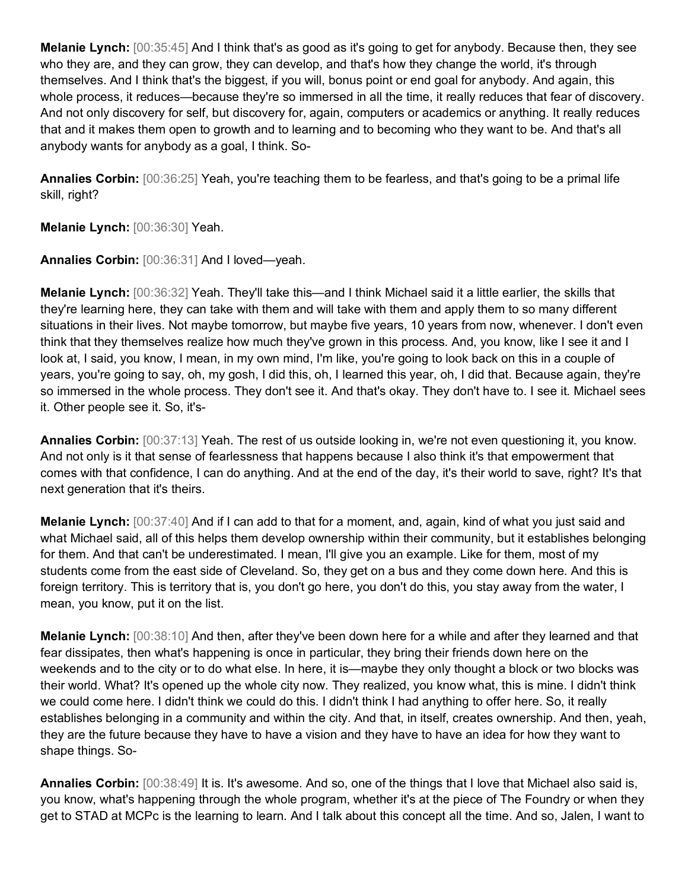**Melanie Lynch:** [00:35:45] And I think that's as good as it's going to get for anybody. Because then, they see who they are, and they can grow, they can develop, and that's how they change the world, it's through themselves. And I think that's the biggest, if you will, bonus point or end goal for anybody. And again, this whole process, it reduces—because they're so immersed in all the time, it really reduces that fear of discovery. And not only discovery for self, but discovery for, again, computers or academics or anything. It really reduces that and it makes them open to growth and to learning and to becoming who they want to be. And that's all anybody wants for anybody as a goal, I think. So-

**Annalies Corbin:** [00:36:25] Yeah, you're teaching them to be fearless, and that's going to be a primal life skill, right?

**Melanie Lynch:** [00:36:30] Yeah.

**Annalies Corbin:** [00:36:31] And I loved—yeah.

**Melanie Lynch:** [00:36:32] Yeah. They'll take this—and I think Michael said it a little earlier, the skills that they're learning here, they can take with them and will take with them and apply them to so many different situations in their lives. Not maybe tomorrow, but maybe five years, 10 years from now, whenever. I don't even think that they themselves realize how much they've grown in this process. And, you know, like I see it and I look at, I said, you know, I mean, in my own mind, I'm like, you're going to look back on this in a couple of years, you're going to say, oh, my gosh, I did this, oh, I learned this year, oh, I did that. Because again, they're so immersed in the whole process. They don't see it. And that's okay. They don't have to. I see it. Michael sees it. Other people see it. So, it's-

**Annalies Corbin:** [00:37:13] Yeah. The rest of us outside looking in, we're not even questioning it, you know. And not only is it that sense of fearlessness that happens because I also think it's that empowerment that comes with that confidence, I can do anything. And at the end of the day, it's their world to save, right? It's that next generation that it's theirs.

**Melanie Lynch:** [00:37:40] And if I can add to that for a moment, and, again, kind of what you just said and what Michael said, all of this helps them develop ownership within their community, but it establishes belonging for them. And that can't be underestimated. I mean, I'll give you an example. Like for them, most of my students come from the east side of Cleveland. So, they get on a bus and they come down here. And this is foreign territory. This is territory that is, you don't go here, you don't do this, you stay away from the water, I mean, you know, put it on the list.

**Melanie Lynch:** [00:38:10] And then, after they've been down here for a while and after they learned and that fear dissipates, then what's happening is once in particular, they bring their friends down here on the weekends and to the city or to do what else. In here, it is—maybe they only thought a block or two blocks was their world. What? It's opened up the whole city now. They realized, you know what, this is mine. I didn't think we could come here. I didn't think we could do this. I didn't think I had anything to offer here. So, it really establishes belonging in a community and within the city. And that, in itself, creates ownership. And then, yeah, they are the future because they have to have a vision and they have to have an idea for how they want to shape things. So-

**Annalies Corbin:** [00:38:49] It is. It's awesome. And so, one of the things that I love that Michael also said is, you know, what's happening through the whole program, whether it's at the piece of The Foundry or when they get to STAD at MCPc is the learning to learn. And I talk about this concept all the time. And so, Jalen, I want to